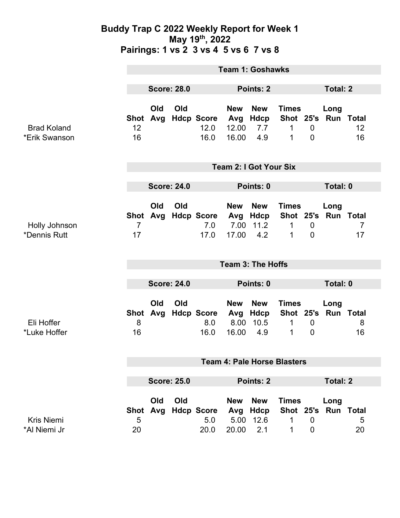### **Buddy Trap C 2022 Weekly Report for Week 1 May 19th, 2022 Pairings: 1 vs 2 3 vs 4 5 vs 6 7 vs 8**

|                                     | <b>Team 1: Goshawks</b>            |            |           |                                             |                                     |                                               |                                                                   |                               |                             |                      |
|-------------------------------------|------------------------------------|------------|-----------|---------------------------------------------|-------------------------------------|-----------------------------------------------|-------------------------------------------------------------------|-------------------------------|-----------------------------|----------------------|
|                                     | <b>Score: 28.0</b>                 |            | Points: 2 |                                             |                                     | <b>Total: 2</b>                               |                                                                   |                               |                             |                      |
| <b>Brad Koland</b><br>*Erik Swanson | 12<br>16                           | Old        | Old       | Shot Avg Hdcp Score<br>12.0<br>16.0         | <b>New</b><br>Avg<br>12.00<br>16.00 | <b>New</b><br>Hdcp<br>7.7<br>4.9              | <b>Times</b><br>Shot 25's Run Total<br>$\mathbf 1$<br>$\mathbf 1$ | $\mathbf 0$<br>$\overline{0}$ | Long                        | 12<br>16             |
|                                     | <b>Team 2: I Got Your Six</b>      |            |           |                                             |                                     |                                               |                                                                   |                               |                             |                      |
|                                     | <b>Score: 24.0</b>                 |            |           |                                             | Points: 0                           |                                               |                                                                   |                               | Total: 0                    |                      |
| Holly Johnson<br>*Dennis Rutt       | $\overline{7}$<br>17               | Old        | Old       | Shot Avg Hdcp Score Avg Hdcp<br>7.0<br>17.0 | <b>New</b><br>17.00                 | <b>New</b><br>7.00 11.2<br>4.2                | <b>Times</b><br>Shot 25's<br>$\mathbf 1$<br>1                     | $\mathbf 0$<br>$\overline{0}$ | Long<br><b>Run Total</b>    | $\overline{7}$<br>17 |
|                                     | <b>Team 3: The Hoffs</b>           |            |           |                                             |                                     |                                               |                                                                   |                               |                             |                      |
|                                     | <b>Score: 24.0</b>                 |            |           | Points: 0                                   |                                     |                                               | Total: 0                                                          |                               |                             |                      |
| Eli Hoffer<br>*Luke Hoffer          | <b>Shot</b><br>8<br>16             | Old<br>Avg | Old       | <b>Hdcp Score</b><br>8.0<br>16.0            | <b>New</b><br>Avg<br>8.00<br>16.00  | <b>New</b><br>Hdcp<br>10.5<br>4.9             | <b>Times</b><br>Shot 25's Run Total<br>1<br>1                     | $\mathbf 0$<br>$\mathbf 0$    | Long                        | 8<br>16              |
|                                     | <b>Team 4: Pale Horse Blasters</b> |            |           |                                             |                                     |                                               |                                                                   |                               |                             |                      |
|                                     | <b>Score: 25.0</b>                 |            |           | Points: 2                                   |                                     |                                               | <b>Total: 2</b>                                                   |                               |                             |                      |
| <b>Kris Niemi</b><br>*Al Niemi Jr   | Shot<br>5<br>20                    | Old<br>Avg | Old       | <b>Hdcp Score</b><br>5.0<br>20.0            | <b>New</b><br>Avg<br>20.00          | <b>New</b><br><b>Hdcp</b><br>5.00 12.6<br>2.1 | <b>Times</b><br>1<br>1                                            | $\mathbf 0$<br>0              | Long<br>Shot 25's Run Total | 5<br>20              |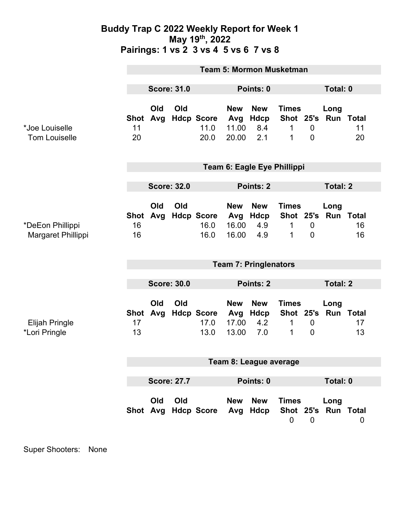### **Buddy Trap C 2022 Weekly Report for Week 1 May 19th, 2022 Pairings: 1 vs 2 3 vs 4 5 vs 6 7 vs 8**

|                                        | <b>Team 5: Mormon Musketman</b> |                 |     |                                   |                                     |                                  |                                     |                               |                             |          |  |
|----------------------------------------|---------------------------------|-----------------|-----|-----------------------------------|-------------------------------------|----------------------------------|-------------------------------------|-------------------------------|-----------------------------|----------|--|
|                                        | <b>Score: 31.0</b>              |                 |     | Points: 0                         |                                     |                                  |                                     | Total: 0                      |                             |          |  |
| *Joe Louiselle<br><b>Tom Louiselle</b> | 11<br>20                        | Old<br>Shot Avg | Old | <b>Hdcp Score</b><br>11.0<br>20.0 | <b>New</b><br>Avg<br>11.00<br>20.00 | <b>New</b><br>Hdcp<br>8.4<br>2.1 | <b>Times</b><br>1<br>1              | $\mathbf 0$<br>$\mathbf 0$    | Long<br>Shot 25's Run Total | 11<br>20 |  |
|                                        | Team 6: Eagle Eye Phillippi     |                 |     |                                   |                                     |                                  |                                     |                               |                             |          |  |
|                                        | <b>Score: 32.0</b>              |                 |     |                                   | Points: 2                           |                                  |                                     | <b>Total: 2</b>               |                             |          |  |
| *DeEon Phillippi<br>Margaret Phillippi | <b>Shot</b><br>16<br>16         | Old<br>Avg      | Old | <b>Hdcp Score</b><br>16.0<br>16.0 | <b>New</b><br>Avg<br>16.00<br>16.00 | <b>New</b><br>Hdcp<br>4.9<br>4.9 | <b>Times</b><br>Shot 25's<br>1<br>1 | $\overline{0}$<br>$\mathbf 0$ | Long<br><b>Run Total</b>    | 16<br>16 |  |
|                                        | <b>Team 7: Pringlenators</b>    |                 |     |                                   |                                     |                                  |                                     |                               |                             |          |  |
|                                        | <b>Score: 30.0</b>              |                 |     |                                   | Points: 2                           |                                  |                                     |                               | <b>Total: 2</b>             |          |  |
| Elijah Pringle<br>*Lori Pringle        | <b>Shot</b><br>17<br>13         | Old<br>Avg      | Old | <b>Hdcp Score</b><br>17.0<br>13.0 | <b>New</b><br>Avg<br>17.00<br>13.00 | <b>New</b><br>Hdcp<br>4.2<br>7.0 | <b>Times</b><br>1<br>1              | $\mathbf 0$<br>$\mathbf 0$    | Long<br>Shot 25's Run Total | 17<br>13 |  |
|                                        | Team 8: League average          |                 |     |                                   |                                     |                                  |                                     |                               |                             |          |  |
|                                        |                                 |                 |     |                                   |                                     |                                  |                                     |                               |                             |          |  |
|                                        | <b>Score: 27.7</b>              |                 |     |                                   | Points: 0                           |                                  |                                     |                               | Total: 0                    |          |  |
|                                        |                                 | Old             | Old | Shot Avg Hdcp Score               | <b>New</b><br>Avg                   | <b>New</b><br>Hdcp               | <b>Times</b><br>$\mathbf 0$         | $\mathbf 0$                   | Long<br>Shot 25's Run Total | 0        |  |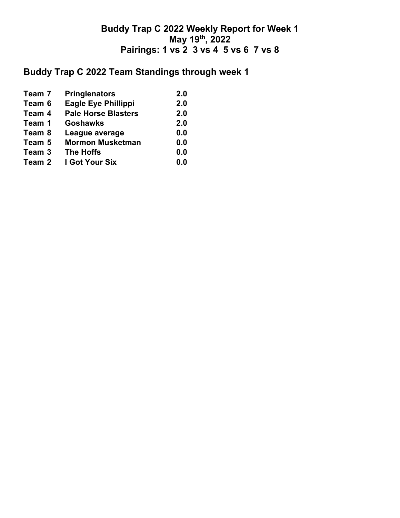## **Buddy Trap C 2022 Weekly Report for Week 1 May 19th, 2022 Pairings: 1 vs 2 3 vs 4 5 vs 6 7 vs 8**

# **Buddy Trap C 2022 Team Standings through week 1**

| Team 7 | <b>Pringlenators</b>       | 2.0 |
|--------|----------------------------|-----|
| Team 6 | <b>Eagle Eye Phillippi</b> | 2.0 |
| Team 4 | <b>Pale Horse Blasters</b> | 2.0 |
| Team 1 | <b>Goshawks</b>            | 2.0 |
| Team 8 | League average             | 0.0 |
| Team 5 | <b>Mormon Musketman</b>    | 0.0 |
| Team 3 | <b>The Hoffs</b>           | 0.0 |
| Team 2 | I Got Your Six             | 0.0 |